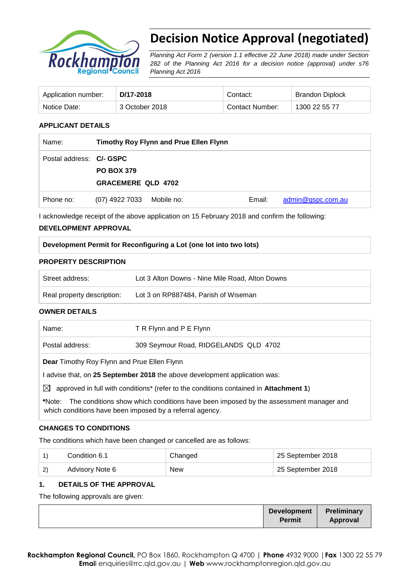

# **Decision Notice Approval (negotiated)**

*Planning Act Form 2 (version 1.1 effective 22 June 2018) made under Section 282 of the Planning Act 2016 for a decision notice (approval) under s76 Planning Act 2016*

| Application number: | D/17-2018      | Contact:        | <b>Brandon Diplock</b> |
|---------------------|----------------|-----------------|------------------------|
| Notice Date:        | 3 October 2018 | Contact Number: | 1300 22 55 77          |

## **APPLICANT DETAILS**

| Name:                    | Timothy Roy Flynn and Prue Ellen Flynn |            |        |                   |
|--------------------------|----------------------------------------|------------|--------|-------------------|
| Postal address: C/- GSPC |                                        |            |        |                   |
|                          | <b>PO BOX 379</b>                      |            |        |                   |
|                          | <b>GRACEMERE QLD 4702</b>              |            |        |                   |
| Phone no:                | (07) 4922 7033                         | Mobile no: | Email: | admin@gspc.com.au |

I acknowledge receipt of the above application on 15 February 2018 and confirm the following:

## **DEVELOPMENT APPROVAL**

| Development Permit for Reconfiguring a Lot (one lot into two lots) |  |  |  |  |  |  |  |
|--------------------------------------------------------------------|--|--|--|--|--|--|--|
|--------------------------------------------------------------------|--|--|--|--|--|--|--|

#### **PROPERTY DESCRIPTION**

| Street address:            | Lot 3 Alton Downs - Nine Mile Road, Alton Downs |
|----------------------------|-------------------------------------------------|
| Real property description: | Lot 3 on RP887484, Parish of Wiseman            |

#### **OWNER DETAILS**

| Name:                                                                                                                                                      | T R Flynn and P E Flynn               |  |  |  |
|------------------------------------------------------------------------------------------------------------------------------------------------------------|---------------------------------------|--|--|--|
| Postal address:                                                                                                                                            | 309 Seymour Road, RIDGELANDS QLD 4702 |  |  |  |
| <b>Dear</b> Timothy Roy Flynn and Prue Ellen Flynn                                                                                                         |                                       |  |  |  |
| I advise that, on 25 September 2018 the above development application was:                                                                                 |                                       |  |  |  |
| $\boxtimes$<br>approved in full with conditions <sup>*</sup> (refer to the conditions contained in <b>Attachment 1</b> )                                   |                                       |  |  |  |
| The conditions show which conditions have been imposed by the assessment manager and<br>*Note:<br>which conditions have been imposed by a referral agency. |                                       |  |  |  |

#### **CHANGES TO CONDITIONS**

The conditions which have been changed or cancelled are as follows:

|              | Condition 6.1   | Changed    | 25 September 2018 |
|--------------|-----------------|------------|-------------------|
| $\mathbf{2}$ | Advisory Note 6 | <b>New</b> | 25 September 2018 |

## **1. DETAILS OF THE APPROVAL**

The following approvals are given:

|  | <b>Development</b><br>Permit | Preliminary<br>Approval |  |
|--|------------------------------|-------------------------|--|
|--|------------------------------|-------------------------|--|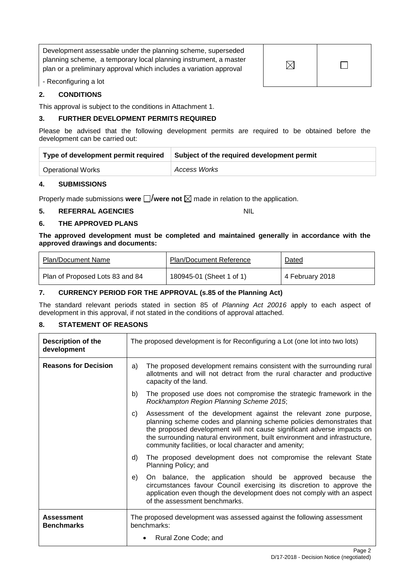Development assessable under the planning scheme, superseded planning scheme, a temporary local planning instrument, a master plan or a preliminary approval which includes a variation approval

 $\boxtimes$  $\Box$ 

- Reconfiguring a lot

## **2. CONDITIONS**

This approval is subject to the conditions in Attachment 1.

#### **3. FURTHER DEVELOPMENT PERMITS REQUIRED**

Please be advised that the following development permits are required to be obtained before the development can be carried out:

| Type of development permit required | Subject of the required development permit |
|-------------------------------------|--------------------------------------------|
| <b>Operational Works</b>            | <b>Access Works</b>                        |

#### **4. SUBMISSIONS**

Properly made submissions were  $\Box$ /were not  $\boxtimes$  made in relation to the application.

## **5. REFERRAL AGENCIES** NIL

## **6. THE APPROVED PLANS**

#### **The approved development must be completed and maintained generally in accordance with the approved drawings and documents:**

| Plan/Document Name              | <b>Plan/Document Reference</b> | Dated           |
|---------------------------------|--------------------------------|-----------------|
| Plan of Proposed Lots 83 and 84 | 180945-01 (Sheet 1 of 1)       | 4 February 2018 |

## **7. CURRENCY PERIOD FOR THE APPROVAL (s.85 of the Planning Act)**

The standard relevant periods stated in section 85 of *Planning Act 20016* apply to each aspect of development in this approval, if not stated in the conditions of approval attached.

## **8. STATEMENT OF REASONS**

| <b>Description of the</b><br>development |                                                                                       | The proposed development is for Reconfiguring a Lot (one lot into two lots)                                                                                                                                                                                                                                                                               |
|------------------------------------------|---------------------------------------------------------------------------------------|-----------------------------------------------------------------------------------------------------------------------------------------------------------------------------------------------------------------------------------------------------------------------------------------------------------------------------------------------------------|
| <b>Reasons for Decision</b>              | a)                                                                                    | The proposed development remains consistent with the surrounding rural<br>allotments and will not detract from the rural character and productive<br>capacity of the land.                                                                                                                                                                                |
|                                          | b)                                                                                    | The proposed use does not compromise the strategic framework in the<br>Rockhampton Region Planning Scheme 2015;                                                                                                                                                                                                                                           |
|                                          | C)                                                                                    | Assessment of the development against the relevant zone purpose,<br>planning scheme codes and planning scheme policies demonstrates that<br>the proposed development will not cause significant adverse impacts on<br>the surrounding natural environment, built environment and infrastructure,<br>community facilities, or local character and amenity; |
|                                          | d)                                                                                    | The proposed development does not compromise the relevant State<br>Planning Policy; and                                                                                                                                                                                                                                                                   |
|                                          | e)                                                                                    | On balance, the application should be approved because the<br>circumstances favour Council exercising its discretion to approve the<br>application even though the development does not comply with an aspect<br>of the assessment benchmarks.                                                                                                            |
| <b>Assessment</b><br><b>Benchmarks</b>   | The proposed development was assessed against the following assessment<br>benchmarks: |                                                                                                                                                                                                                                                                                                                                                           |
|                                          |                                                                                       | Rural Zone Code; and                                                                                                                                                                                                                                                                                                                                      |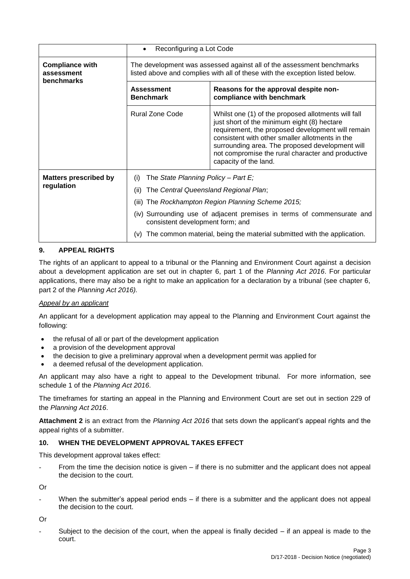|                                                                                                            | Reconfiguring a Lot Code<br>٠                                                                                                                                                                                                                                                                                                                                         |                                                                    |  |  |
|------------------------------------------------------------------------------------------------------------|-----------------------------------------------------------------------------------------------------------------------------------------------------------------------------------------------------------------------------------------------------------------------------------------------------------------------------------------------------------------------|--------------------------------------------------------------------|--|--|
| <b>Compliance with</b><br>assessment<br>benchmarks                                                         | The development was assessed against all of the assessment benchmarks<br>listed above and complies with all of these with the exception listed below.                                                                                                                                                                                                                 |                                                                    |  |  |
|                                                                                                            | <b>Assessment</b><br><b>Benchmark</b>                                                                                                                                                                                                                                                                                                                                 | Reasons for the approval despite non-<br>compliance with benchmark |  |  |
|                                                                                                            | <b>Rural Zone Code</b><br>Whilst one (1) of the proposed allotments will fall<br>just short of the minimum eight (8) hectare<br>requirement, the proposed development will remain<br>consistent with other smaller allotments in the<br>surrounding area. The proposed development will<br>not compromise the rural character and productive<br>capacity of the land. |                                                                    |  |  |
| <b>Matters prescribed by</b><br>regulation                                                                 | The State Planning Policy - Part $E_i$<br>(i)<br>The Central Queensland Regional Plan;<br>(ii)                                                                                                                                                                                                                                                                        |                                                                    |  |  |
|                                                                                                            | The Rockhampton Region Planning Scheme 2015;<br>(iii)                                                                                                                                                                                                                                                                                                                 |                                                                    |  |  |
| (iv) Surrounding use of adjacent premises in terms of commensurate and<br>consistent development form; and |                                                                                                                                                                                                                                                                                                                                                                       |                                                                    |  |  |
|                                                                                                            | The common material, being the material submitted with the application.<br>(v)                                                                                                                                                                                                                                                                                        |                                                                    |  |  |

## **9. APPEAL RIGHTS**

The rights of an applicant to appeal to a tribunal or the Planning and Environment Court against a decision about a development application are set out in chapter 6, part 1 of the *Planning Act 2016*. For particular applications, there may also be a right to make an application for a declaration by a tribunal (see chapter 6, part 2 of the *Planning Act 2016).*

## *Appeal by an applicant*

An applicant for a development application may appeal to the Planning and Environment Court against the following:

- the refusal of all or part of the development application
- a provision of the development approval
- the decision to give a preliminary approval when a development permit was applied for
- a deemed refusal of the development application.

An applicant may also have a right to appeal to the Development tribunal. For more information, see schedule 1 of the *Planning Act 2016*.

The timeframes for starting an appeal in the Planning and Environment Court are set out in section 229 of the *Planning Act 2016*.

**Attachment 2** is an extract from the *Planning Act 2016* that sets down the applicant's appeal rights and the appeal rights of a submitter.

## **10. WHEN THE DEVELOPMENT APPROVAL TAKES EFFECT**

This development approval takes effect:

From the time the decision notice is given  $-$  if there is no submitter and the applicant does not appeal the decision to the court.

Or

When the submitter's appeal period ends  $-$  if there is a submitter and the applicant does not appeal the decision to the court.

Or

Subject to the decision of the court, when the appeal is finally decided  $-$  if an appeal is made to the court.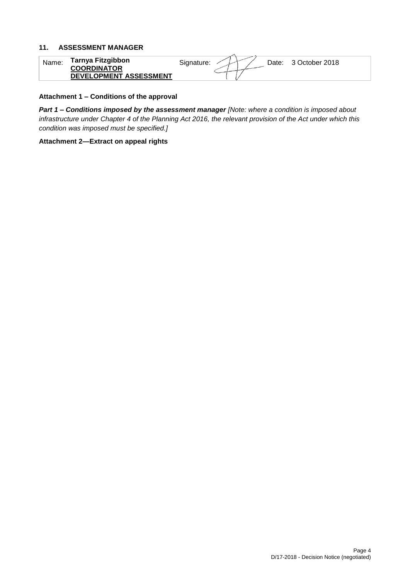#### **11. ASSESSMENT MANAGER**

| Name. | <b>Tarnya Fitzgibbon</b><br><b>COORDINATOR</b><br>DEVELOPMENT ASSESSMENT | Signature:<br>3 October 2018<br>Date: |
|-------|--------------------------------------------------------------------------|---------------------------------------|

#### **Attachment 1 – Conditions of the approval**

*Part 1* **–** *Conditions imposed by the assessment manager [Note: where a condition is imposed about infrastructure under Chapter 4 of the Planning Act 2016, the relevant provision of the Act under which this condition was imposed must be specified.]*

**Attachment 2—Extract on appeal rights**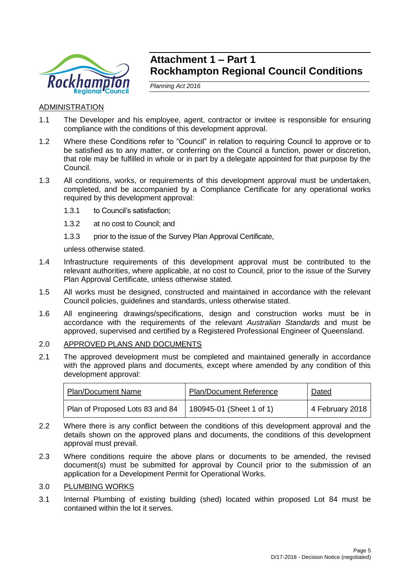

## **Attachment 1 – Part 1 Rockhampton Regional Council Conditions**

*Planning Act 2016*

## ADMINISTRATION

- 1.1 The Developer and his employee, agent, contractor or invitee is responsible for ensuring compliance with the conditions of this development approval.
- 1.2 Where these Conditions refer to "Council" in relation to requiring Council to approve or to be satisfied as to any matter, or conferring on the Council a function, power or discretion, that role may be fulfilled in whole or in part by a delegate appointed for that purpose by the Council.
- 1.3 All conditions, works, or requirements of this development approval must be undertaken, completed, and be accompanied by a Compliance Certificate for any operational works required by this development approval:
	- 1.3.1 to Council's satisfaction;
	- 1.3.2 at no cost to Council; and
	- 1.3.3 prior to the issue of the Survey Plan Approval Certificate,

unless otherwise stated.

- 1.4 Infrastructure requirements of this development approval must be contributed to the relevant authorities, where applicable, at no cost to Council, prior to the issue of the Survey Plan Approval Certificate, unless otherwise stated.
- 1.5 All works must be designed, constructed and maintained in accordance with the relevant Council policies, guidelines and standards, unless otherwise stated.
- 1.6 All engineering drawings/specifications, design and construction works must be in accordance with the requirements of the relevant *Australian Standards* and must be approved, supervised and certified by a Registered Professional Engineer of Queensland.

## 2.0 APPROVED PLANS AND DOCUMENTS

2.1 The approved development must be completed and maintained generally in accordance with the approved plans and documents, except where amended by any condition of this development approval:

| <b>Plan/Document Name</b>       | <b>Plan/Document Reference</b> | Dated           |
|---------------------------------|--------------------------------|-----------------|
| Plan of Proposed Lots 83 and 84 | 180945-01 (Sheet 1 of 1)       | 4 February 2018 |

- 2.2 Where there is any conflict between the conditions of this development approval and the details shown on the approved plans and documents, the conditions of this development approval must prevail.
- 2.3 Where conditions require the above plans or documents to be amended, the revised document(s) must be submitted for approval by Council prior to the submission of an application for a Development Permit for Operational Works.

## 3.0 PLUMBING WORKS

3.1 Internal Plumbing of existing building (shed) located within proposed Lot 84 must be contained within the lot it serves.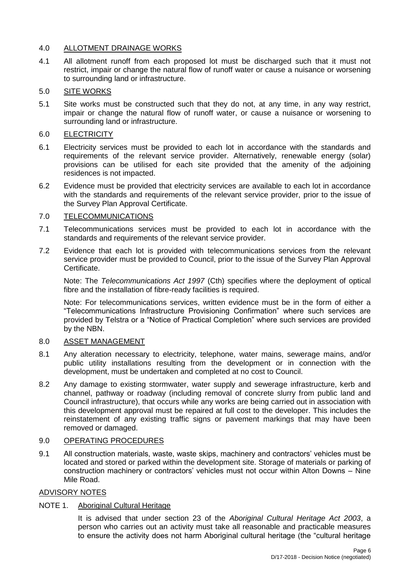## 4.0 ALLOTMENT DRAINAGE WORKS

4.1 All allotment runoff from each proposed lot must be discharged such that it must not restrict, impair or change the natural flow of runoff water or cause a nuisance or worsening to surrounding land or infrastructure.

## 5.0 SITE WORKS

5.1 Site works must be constructed such that they do not, at any time, in any way restrict, impair or change the natural flow of runoff water, or cause a nuisance or worsening to surrounding land or infrastructure.

## 6.0 ELECTRICITY

- 6.1 Electricity services must be provided to each lot in accordance with the standards and requirements of the relevant service provider. Alternatively, renewable energy (solar) provisions can be utilised for each site provided that the amenity of the adjoining residences is not impacted.
- 6.2 Evidence must be provided that electricity services are available to each lot in accordance with the standards and requirements of the relevant service provider, prior to the issue of the Survey Plan Approval Certificate.

## 7.0 TELECOMMUNICATIONS

- 7.1 Telecommunications services must be provided to each lot in accordance with the standards and requirements of the relevant service provider.
- 7.2 Evidence that each lot is provided with telecommunications services from the relevant service provider must be provided to Council, prior to the issue of the Survey Plan Approval Certificate.

Note: The *Telecommunications Act 1997* (Cth) specifies where the deployment of optical fibre and the installation of fibre-ready facilities is required.

Note: For telecommunications services, written evidence must be in the form of either a "Telecommunications Infrastructure Provisioning Confirmation" where such services are provided by Telstra or a "Notice of Practical Completion" where such services are provided by the NBN.

## 8.0 ASSET MANAGEMENT

- 8.1 Any alteration necessary to electricity, telephone, water mains, sewerage mains, and/or public utility installations resulting from the development or in connection with the development, must be undertaken and completed at no cost to Council.
- 8.2 Any damage to existing stormwater, water supply and sewerage infrastructure, kerb and channel, pathway or roadway (including removal of concrete slurry from public land and Council infrastructure), that occurs while any works are being carried out in association with this development approval must be repaired at full cost to the developer. This includes the reinstatement of any existing traffic signs or pavement markings that may have been removed or damaged.

## 9.0 OPERATING PROCEDURES

9.1 All construction materials, waste, waste skips, machinery and contractors' vehicles must be located and stored or parked within the development site. Storage of materials or parking of construction machinery or contractors' vehicles must not occur within Alton Downs – Nine Mile Road.

## ADVISORY NOTES

## NOTE 1. Aboriginal Cultural Heritage

It is advised that under section 23 of the *Aboriginal Cultural Heritage Act 2003*, a person who carries out an activity must take all reasonable and practicable measures to ensure the activity does not harm Aboriginal cultural heritage (the "cultural heritage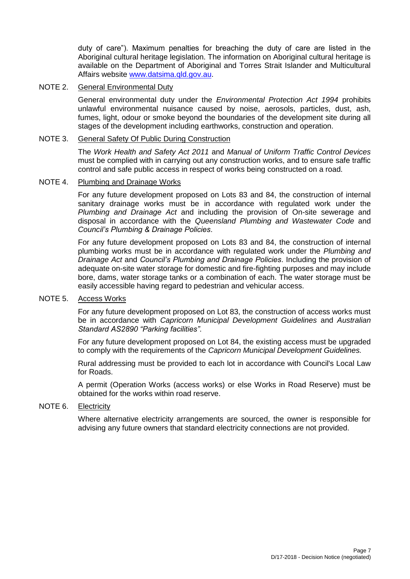duty of care"). Maximum penalties for breaching the duty of care are listed in the Aboriginal cultural heritage legislation. The information on Aboriginal cultural heritage is available on the Department of Aboriginal and Torres Strait Islander and Multicultural Affairs website [www.datsima.qld.gov.au.](http://www.datsima.qld.gov.au/)

## NOTE 2. General Environmental Duty

General environmental duty under the *Environmental Protection Act 1994* prohibits unlawful environmental nuisance caused by noise, aerosols, particles, dust, ash, fumes, light, odour or smoke beyond the boundaries of the development site during all stages of the development including earthworks, construction and operation.

## NOTE 3. General Safety Of Public During Construction

The *Work Health and Safety Act 2011* and *Manual of Uniform Traffic Control Devices* must be complied with in carrying out any construction works, and to ensure safe traffic control and safe public access in respect of works being constructed on a road.

## NOTE 4. Plumbing and Drainage Works

For any future development proposed on Lots 83 and 84, the construction of internal sanitary drainage works must be in accordance with regulated work under the *Plumbing and Drainage Act* and including the provision of On-site sewerage and disposal in accordance with the *Queensland Plumbing and Wastewater Code* and *Council's Plumbing & Drainage Policies*.

For any future development proposed on Lots 83 and 84, the construction of internal plumbing works must be in accordance with regulated work under the *Plumbing and Drainage Act* and *Council's Plumbing and Drainage Policies*. Including the provision of adequate on-site water storage for domestic and fire-fighting purposes and may include bore, dams, water storage tanks or a combination of each. The water storage must be easily accessible having regard to pedestrian and vehicular access.

#### NOTE 5. Access Works

For any future development proposed on Lot 83, the construction of access works must be in accordance with *Capricorn Municipal Development Guidelines* and *Australian Standard AS2890 "Parking facilities"*.

For any future development proposed on Lot 84, the existing access must be upgraded to comply with the requirements of the *Capricorn Municipal Development Guidelines.*

Rural addressing must be provided to each lot in accordance with Council's Local Law for Roads.

A permit (Operation Works (access works) or else Works in Road Reserve) must be obtained for the works within road reserve.

## NOTE 6. Electricity

Where alternative electricity arrangements are sourced, the owner is responsible for advising any future owners that standard electricity connections are not provided.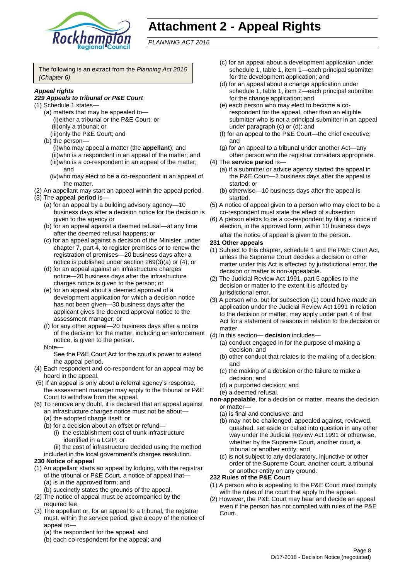

# **Attachment 2 - Appeal Rights**

*PLANNING ACT 2016*

The following is an extract from the *Planning Act 2016 (Chapter 6)*

#### *Appeal rights*

#### *229 Appeals to tribunal or P&E Court*

- (1) Schedule 1 states—
	- (a) matters that may be appealed to— (i)either a tribunal or the P&E Court; or (ii)only a tribunal; or (iii)only the P&E Court; and
	- (b) the person—
		- (i)who may appeal a matter (the **appellant**); and (ii)who is a respondent in an appeal of the matter; and (iii)who is a co-respondent in an appeal of the matter; and
		- (iv)who may elect to be a co-respondent in an appeal of the matter.
- (2) An appellant may start an appeal within the appeal period. (3) The **appeal period** is—
	- (a) for an appeal by a building advisory agency—10 business days after a decision notice for the decision is given to the agency or
	- (b) for an appeal against a deemed refusal—at any time after the deemed refusal happens; or
	- (c) for an appeal against a decision of the Minister, under chapter 7, part 4, to register premises or to renew the registration of premises—20 business days after a notice is published under section 269(3)(a) or (4); or
	- (d) for an appeal against an infrastructure charges notice—20 business days after the infrastructure charges notice is given to the person; or
	- (e) for an appeal about a deemed approval of a development application for which a decision notice has not been given—30 business days after the applicant gives the deemed approval notice to the assessment manager; or
	- (f) for any other appeal—20 business days after a notice of the decision for the matter, including an enforcement notice, is given to the person.

#### Note—

See the P&E Court Act for the court's power to extend the appeal period.

- (4) Each respondent and co-respondent for an appeal may be heard in the appeal.
- (5) If an appeal is only about a referral agency's response, the assessment manager may apply to the tribunal or P&E Court to withdraw from the appeal.
- (6) To remove any doubt, it is declared that an appeal against an infrastructure charges notice must not be about—
	- (a) the adopted charge itself; or
	- (b) for a decision about an offset or refund— (i) the establishment cost of trunk infrastructure identified in a LGIP; or

(ii) the cost of infrastructure decided using the method included in the local government's charges resolution.

## **230 Notice of appeal**

- (1) An appellant starts an appeal by lodging, with the registrar of the tribunal or P&E Court, a notice of appeal that—
	- (a) is in the approved form; and
	- (b) succinctly states the grounds of the appeal.
- (2) The notice of appeal must be accompanied by the required fee.
- (3) The appellant or, for an appeal to a tribunal, the registrar must, within the service period, give a copy of the notice of appeal to—
	- (a) the respondent for the appeal; and
	- (b) each co-respondent for the appeal; and
- (c) for an appeal about a development application under schedule 1, table 1, item 1—each principal submitter for the development application; and
- (d) for an appeal about a change application under schedule 1, table 1, item 2—each principal submitter for the change application; and
- (e) each person who may elect to become a corespondent for the appeal, other than an eligible submitter who is not a principal submitter in an appeal under paragraph (c) or (d); and
- (f) for an appeal to the P&E Court—the chief executive; and
- (g) for an appeal to a tribunal under another Act—any other person who the registrar considers appropriate.
- (4) The **service period** is—
	- (a) if a submitter or advice agency started the appeal in the P&E Court—2 business days after the appeal is started; or
	- (b) otherwise—10 business days after the appeal is started.
- (5) A notice of appeal given to a person who may elect to be a co-respondent must state the effect of subsection
- (6) A person elects to be a co-respondent by filing a notice of election, in the approved form, within 10 business days after the notice of appeal is given to the person*.*

#### **231 Other appeals**

- (1) Subject to this chapter, schedule 1 and the P&E Court Act, unless the Supreme Court decides a decision or other matter under this Act is affected by jurisdictional error, the decision or matter is non-appealable.
- (2) The Judicial Review Act 1991, part 5 applies to the decision or matter to the extent it is affected by jurisdictional error.
- (3) A person who, but for subsection (1) could have made an application under the Judicial Review Act 1991 in relation to the decision or matter, may apply under part 4 of that Act for a statement of reasons in relation to the decision or matter.
- (4) In this section— **decision** includes—
	- (a) conduct engaged in for the purpose of making a decision; and
	- (b) other conduct that relates to the making of a decision; and
	- (c) the making of a decision or the failure to make a decision; and
	- (d) a purported decision; and
	- (e) a deemed refusal.
- **non-appealable**, for a decision or matter, means the decision or matter—
	- (a) is final and conclusive; and
	- (b) may not be challenged, appealed against, reviewed, quashed, set aside or called into question in any other way under the Judicial Review Act 1991 or otherwise, whether by the Supreme Court, another court, a tribunal or another entity; and
	- (c) is not subject to any declaratory, injunctive or other order of the Supreme Court, another court, a tribunal or another entity on any ground.

#### **232 Rules of the P&E Court**

- (1) A person who is appealing to the P&E Court must comply with the rules of the court that apply to the appeal.
- (2) However, the P&E Court may hear and decide an appeal even if the person has not complied with rules of the P&E Court.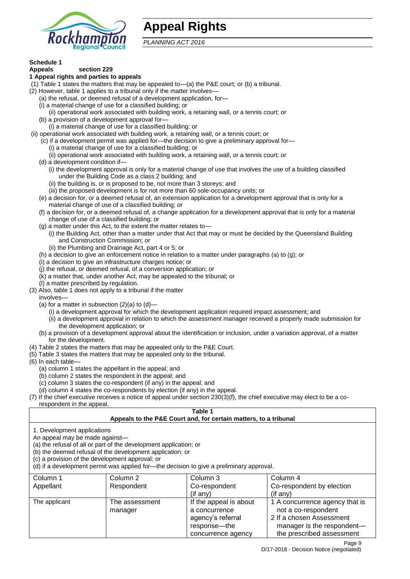

## **Appeal Rights**

*PLANNING ACT 2016*

## **Schedule 1**

#### **Appeals section 229 1 Appeal rights and parties to appeals**

- (1) Table 1 states the matters that may be appealed to—(a) the P&E court; or (b) a tribunal.
- (2) However, table 1 applies to a tribunal only if the matter involves-
	- (a) the refusal, or deemed refusal of a development application, for—
	- (i) a material change of use for a classified building; or
	- (ii) operational work associated with building work, a retaining wall, or a tennis court; or
	- (b) a provision of a development approval for—
	- (i) a material change of use for a classified building; or
- (ii) operational work associated with building work, a retaining wall, or a tennis court; or
	- (c) if a development permit was applied for—the decision to give a preliminary approval for—
		- (i) a material change of use for a classified building; or
		- (ii) operational work associated with building work, a retaining wall, or a tennis court; or
	- (d) a development condition if—
		- (i) the development approval is only for a material change of use that involves the use of a building classified under the Building Code as a class 2 building; and
		- (ii) the building is, or is proposed to be, not more than 3 storeys; and
		- (iii) the proposed development is for not more than 60 sole-occupancy units; or
	- (e) a decision for, or a deemed refusal of, an extension application for a development approval that is only for a material change of use of a classified building; or
	- (f) a decision for, or a deemed refusal of, a change application for a development approval that is only for a material change of use of a classified building; or
	- (g) a matter under this Act, to the extent the matter relates to—
		- (i) the Building Act, other than a matter under that Act that may or must be decided by the Queensland Building and Construction Commission; or
		- (ii) the Plumbing and Drainage Act, part 4 or 5; or
	- (h) a decision to give an enforcement notice in relation to a matter under paragraphs (a) to (g); or
	- (i) a decision to give an infrastructure charges notice; or
	- (j) the refusal, or deemed refusal, of a conversion application; or
	- (k) a matter that, under another Act, may be appealed to the tribunal; or
	- (l) a matter prescribed by regulation.
- (3) Also, table 1 does not apply to a tribunal if the matter
- involves—
	- (a) for a matter in subsection  $(2)(a)$  to  $(d)$ -
		- (i) a development approval for which the development application required impact assessment; and
		- (ii) a development approval in relation to which the assessment manager received a properly made submission for the development application; or
	- (b) a provision of a development approval about the identification or inclusion, under a variation approval, of a matter for the development.
- (4) Table 2 states the matters that may be appealed only to the P&E Court.
- (5) Table 3 states the matters that may be appealed only to the tribunal.
- (6) In each table—
	- (a) column 1 states the appellant in the appeal; and
	- (b) column 2 states the respondent in the appeal; and
	- (c) column 3 states the co-respondent (if any) in the appeal; and
- (d) column 4 states the co-respondents by election (if any) in the appeal.
- (7) If the chief executive receives a notice of appeal under section 230(3)(f), the chief executive may elect to be a corespondent in the appeal.

## **Table 1**

## **Appeals to the P&E Court and, for certain matters, to a tribunal**

1. Development applications

An appeal may be made against—

(a) the refusal of all or part of the development application; or

(b) the deemed refusal of the development application; or

(c) a provision of the development approval; or

(d) if a development permit was applied for—the decision to give a preliminary approval.

| Column 1      | Column 2                  | Column 3                                                                                           | Column 4                                                                                                                                     |
|---------------|---------------------------|----------------------------------------------------------------------------------------------------|----------------------------------------------------------------------------------------------------------------------------------------------|
| Appellant     | Respondent                | Co-respondent                                                                                      | Co-respondent by election                                                                                                                    |
|               |                           | $($ if any $)$                                                                                     | $($ if any $)$                                                                                                                               |
| The applicant | The assessment<br>manager | If the appeal is about<br>a concurrence<br>agency's referral<br>response—the<br>concurrence agency | 1 A concurrence agency that is<br>not a co-respondent<br>2 If a chosen Assessment<br>manager is the respondent-<br>the prescribed assessment |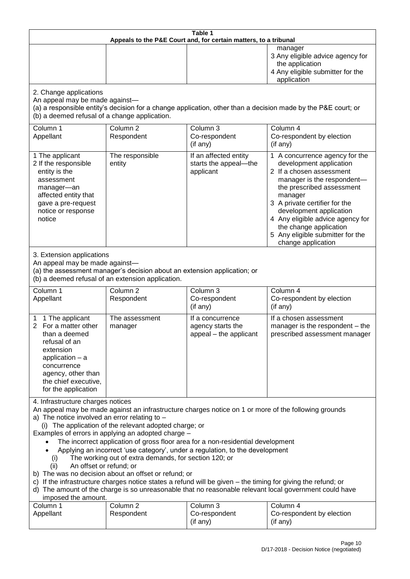| Table 1<br>Appeals to the P&E Court and, for certain matters, to a tribunal                                                                                                                                                                                                                                                                                                                                                                                                                                                                                                                                                                                                                                                                                                                                                                                                               |                                                                                                                                                                                                  |                                                                 |                                                                                                                                                                                                                                                                                                                                                 |  |  |
|-------------------------------------------------------------------------------------------------------------------------------------------------------------------------------------------------------------------------------------------------------------------------------------------------------------------------------------------------------------------------------------------------------------------------------------------------------------------------------------------------------------------------------------------------------------------------------------------------------------------------------------------------------------------------------------------------------------------------------------------------------------------------------------------------------------------------------------------------------------------------------------------|--------------------------------------------------------------------------------------------------------------------------------------------------------------------------------------------------|-----------------------------------------------------------------|-------------------------------------------------------------------------------------------------------------------------------------------------------------------------------------------------------------------------------------------------------------------------------------------------------------------------------------------------|--|--|
|                                                                                                                                                                                                                                                                                                                                                                                                                                                                                                                                                                                                                                                                                                                                                                                                                                                                                           |                                                                                                                                                                                                  |                                                                 | manager<br>3 Any eligible advice agency for<br>the application<br>4 Any eligible submitter for the<br>application                                                                                                                                                                                                                               |  |  |
| 2. Change applications                                                                                                                                                                                                                                                                                                                                                                                                                                                                                                                                                                                                                                                                                                                                                                                                                                                                    | An appeal may be made against-<br>(a) a responsible entity's decision for a change application, other than a decision made by the P&E court; or<br>(b) a deemed refusal of a change application. |                                                                 |                                                                                                                                                                                                                                                                                                                                                 |  |  |
| Column 1<br>Appellant                                                                                                                                                                                                                                                                                                                                                                                                                                                                                                                                                                                                                                                                                                                                                                                                                                                                     | Column <sub>2</sub><br>Respondent                                                                                                                                                                | Column 3<br>Co-respondent<br>(if any)                           | Column 4<br>Co-respondent by election<br>(if any)                                                                                                                                                                                                                                                                                               |  |  |
| 1 The applicant<br>2 If the responsible<br>entity is the<br>assessment<br>manager-an<br>affected entity that<br>gave a pre-request<br>notice or response<br>notice                                                                                                                                                                                                                                                                                                                                                                                                                                                                                                                                                                                                                                                                                                                        | The responsible<br>entity                                                                                                                                                                        | If an affected entity<br>starts the appeal-the<br>applicant     | 1 A concurrence agency for the<br>development application<br>2 If a chosen assessment<br>manager is the respondent-<br>the prescribed assessment<br>manager<br>3 A private certifier for the<br>development application<br>4 Any eligible advice agency for<br>the change application<br>5 Any eligible submitter for the<br>change application |  |  |
|                                                                                                                                                                                                                                                                                                                                                                                                                                                                                                                                                                                                                                                                                                                                                                                                                                                                                           | 3. Extension applications<br>An appeal may be made against-<br>(a) the assessment manager's decision about an extension application; or<br>(b) a deemed refusal of an extension application.     |                                                                 |                                                                                                                                                                                                                                                                                                                                                 |  |  |
| Column 1<br>Appellant                                                                                                                                                                                                                                                                                                                                                                                                                                                                                                                                                                                                                                                                                                                                                                                                                                                                     | Column <sub>2</sub><br>Respondent                                                                                                                                                                | Column 3<br>Co-respondent<br>(if any)                           | Column 4<br>Co-respondent by election<br>(if any)                                                                                                                                                                                                                                                                                               |  |  |
| 1 The applicant<br>For a matter other<br>2<br>than a deemed<br>refusal of an<br>extension<br>application - a<br>concurrence<br>agency, other than<br>the chief executive,<br>for the application                                                                                                                                                                                                                                                                                                                                                                                                                                                                                                                                                                                                                                                                                          | The assessment<br>manager                                                                                                                                                                        | If a concurrence<br>agency starts the<br>appeal - the applicant | If a chosen assessment<br>manager is the respondent - the<br>prescribed assessment manager                                                                                                                                                                                                                                                      |  |  |
| 4. Infrastructure charges notices<br>An appeal may be made against an infrastructure charges notice on 1 or more of the following grounds<br>a) The notice involved an error relating to -<br>(i) The application of the relevant adopted charge; or<br>Examples of errors in applying an adopted charge -<br>The incorrect application of gross floor area for a non-residential development<br>Applying an incorrect 'use category', under a regulation, to the development<br>The working out of extra demands, for section 120; or<br>(i)<br>An offset or refund; or<br>(ii)<br>b) The was no decision about an offset or refund; or<br>c) If the infrastructure charges notice states a refund will be given – the timing for giving the refund; or<br>d) The amount of the charge is so unreasonable that no reasonable relevant local government could have<br>imposed the amount. |                                                                                                                                                                                                  |                                                                 |                                                                                                                                                                                                                                                                                                                                                 |  |  |
| Column 1<br>Appellant                                                                                                                                                                                                                                                                                                                                                                                                                                                                                                                                                                                                                                                                                                                                                                                                                                                                     | Column <sub>2</sub><br>Respondent                                                                                                                                                                | Column 3<br>Co-respondent<br>(if any)                           | Column 4<br>Co-respondent by election<br>(if any)                                                                                                                                                                                                                                                                                               |  |  |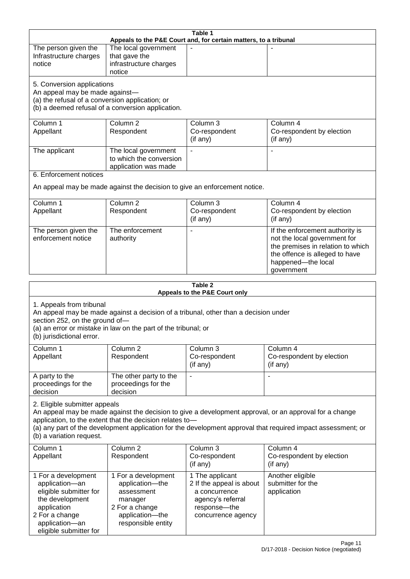| Table 1<br>Appeals to the P&E Court and, for certain matters, to a tribunal       |                                                                                     |                                           |                                                                                                              |  |
|-----------------------------------------------------------------------------------|-------------------------------------------------------------------------------------|-------------------------------------------|--------------------------------------------------------------------------------------------------------------|--|
| The person given the                                                              | The local government                                                                |                                           |                                                                                                              |  |
| Infrastructure charges                                                            | that gave the                                                                       |                                           |                                                                                                              |  |
| notice                                                                            | infrastructure charges                                                              |                                           |                                                                                                              |  |
|                                                                                   | notice                                                                              |                                           |                                                                                                              |  |
| 5. Conversion applications                                                        |                                                                                     |                                           |                                                                                                              |  |
| An appeal may be made against-<br>(a) the refusal of a conversion application; or |                                                                                     |                                           |                                                                                                              |  |
|                                                                                   | (b) a deemed refusal of a conversion application.                                   |                                           |                                                                                                              |  |
| Column 1                                                                          | Column <sub>2</sub>                                                                 | Column 3                                  | Column 4                                                                                                     |  |
| Appellant                                                                         | Respondent                                                                          | Co-respondent                             | Co-respondent by election                                                                                    |  |
|                                                                                   |                                                                                     | (if any)                                  | (if any)                                                                                                     |  |
| The applicant                                                                     | The local government                                                                |                                           |                                                                                                              |  |
|                                                                                   | to which the conversion                                                             |                                           |                                                                                                              |  |
| 6. Enforcement notices                                                            | application was made                                                                |                                           |                                                                                                              |  |
|                                                                                   |                                                                                     |                                           |                                                                                                              |  |
|                                                                                   | An appeal may be made against the decision to give an enforcement notice.           |                                           |                                                                                                              |  |
| Column 1                                                                          | Column <sub>2</sub>                                                                 | Column 3                                  | Column 4                                                                                                     |  |
| Appellant                                                                         | Respondent                                                                          | Co-respondent                             | Co-respondent by election                                                                                    |  |
|                                                                                   |                                                                                     | (if any)                                  | (if any)                                                                                                     |  |
| The person given the                                                              | The enforcement                                                                     |                                           | If the enforcement authority is                                                                              |  |
| enforcement notice                                                                | authority                                                                           |                                           | not the local government for                                                                                 |  |
|                                                                                   |                                                                                     |                                           | the premises in relation to which<br>the offence is alleged to have                                          |  |
|                                                                                   |                                                                                     |                                           | happened-the local                                                                                           |  |
|                                                                                   |                                                                                     |                                           | government                                                                                                   |  |
|                                                                                   |                                                                                     |                                           |                                                                                                              |  |
|                                                                                   |                                                                                     |                                           |                                                                                                              |  |
|                                                                                   |                                                                                     | Table 2<br>Appeals to the P&E Court only  |                                                                                                              |  |
|                                                                                   |                                                                                     |                                           |                                                                                                              |  |
| 1. Appeals from tribunal                                                          | An appeal may be made against a decision of a tribunal, other than a decision under |                                           |                                                                                                              |  |
| section 252, on the ground of-                                                    |                                                                                     |                                           |                                                                                                              |  |
|                                                                                   | (a) an error or mistake in law on the part of the tribunal; or                      |                                           |                                                                                                              |  |
| (b) jurisdictional error.                                                         |                                                                                     |                                           |                                                                                                              |  |
| Column 1                                                                          | Column <sub>2</sub>                                                                 | Column 3                                  | Column 4                                                                                                     |  |
| Appellant                                                                         | Respondent                                                                          | Co-respondent                             | Co-respondent by election                                                                                    |  |
|                                                                                   |                                                                                     | (if any)                                  | (if any)                                                                                                     |  |
| A party to the                                                                    | The other party to the                                                              |                                           | $\overline{\phantom{a}}$                                                                                     |  |
| proceedings for the<br>decision                                                   | proceedings for the<br>decision                                                     |                                           |                                                                                                              |  |
|                                                                                   |                                                                                     |                                           |                                                                                                              |  |
| 2. Eligible submitter appeals                                                     |                                                                                     |                                           | An appeal may be made against the decision to give a development approval, or an approval for a change       |  |
|                                                                                   | application, to the extent that the decision relates to-                            |                                           |                                                                                                              |  |
|                                                                                   |                                                                                     |                                           | (a) any part of the development application for the development approval that required impact assessment; or |  |
| (b) a variation request.                                                          |                                                                                     |                                           |                                                                                                              |  |
| Column 1                                                                          | Column <sub>2</sub>                                                                 | Column 3                                  | Column 4                                                                                                     |  |
| Appellant                                                                         | Respondent                                                                          | Co-respondent                             | Co-respondent by election                                                                                    |  |
|                                                                                   |                                                                                     | (if any)                                  | (if any)                                                                                                     |  |
| 1 For a development                                                               | 1 For a development                                                                 | 1 The applicant                           | Another eligible                                                                                             |  |
| application-an<br>eligible submitter for                                          | application-the<br>assessment                                                       | 2 If the appeal is about<br>a concurrence | submitter for the<br>application                                                                             |  |
| the development                                                                   | manager                                                                             | agency's referral                         |                                                                                                              |  |
| application                                                                       | 2 For a change                                                                      | response-the                              |                                                                                                              |  |
| 2 For a change<br>application-an                                                  | application-the<br>responsible entity                                               | concurrence agency                        |                                                                                                              |  |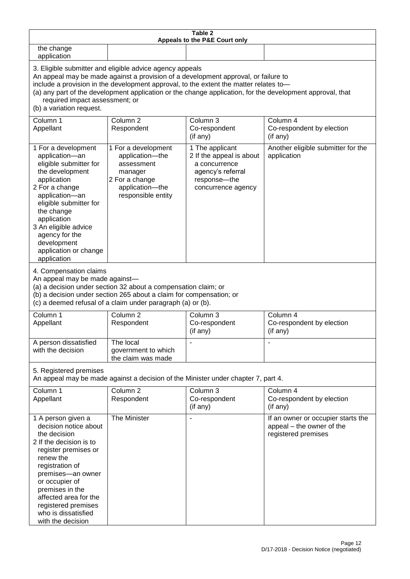| Table 2<br>Appeals to the P&E Court only                                                                                                                                                                                                                                                                                                                                                                           |                                                                                                                            |                                                                                                                         |                                                                                        |  |
|--------------------------------------------------------------------------------------------------------------------------------------------------------------------------------------------------------------------------------------------------------------------------------------------------------------------------------------------------------------------------------------------------------------------|----------------------------------------------------------------------------------------------------------------------------|-------------------------------------------------------------------------------------------------------------------------|----------------------------------------------------------------------------------------|--|
| the change<br>application                                                                                                                                                                                                                                                                                                                                                                                          |                                                                                                                            |                                                                                                                         |                                                                                        |  |
| 3. Eligible submitter and eligible advice agency appeals<br>An appeal may be made against a provision of a development approval, or failure to<br>include a provision in the development approval, to the extent the matter relates to-<br>(a) any part of the development application or the change application, for the development approval, that<br>required impact assessment; or<br>(b) a variation request. |                                                                                                                            |                                                                                                                         |                                                                                        |  |
| Column 1<br>Appellant                                                                                                                                                                                                                                                                                                                                                                                              | Column <sub>2</sub><br>Respondent                                                                                          | Column 3<br>Co-respondent<br>(if any)                                                                                   | Column 4<br>Co-respondent by election<br>(if any)                                      |  |
| 1 For a development<br>application-an<br>eligible submitter for<br>the development<br>application<br>2 For a change<br>application-an<br>eligible submitter for<br>the change<br>application<br>3 An eligible advice<br>agency for the<br>development<br>application or change<br>application                                                                                                                      | 1 For a development<br>application-the<br>assessment<br>manager<br>2 For a change<br>application-the<br>responsible entity | 1 The applicant<br>2 If the appeal is about<br>a concurrence<br>agency's referral<br>response-the<br>concurrence agency | Another eligible submitter for the<br>application                                      |  |
| 4. Compensation claims<br>An appeal may be made against-<br>(a) a decision under section 32 about a compensation claim; or<br>(b) a decision under section 265 about a claim for compensation; or<br>(c) a deemed refusal of a claim under paragraph (a) or (b).                                                                                                                                                   |                                                                                                                            |                                                                                                                         |                                                                                        |  |
| Column 1<br>Appellant                                                                                                                                                                                                                                                                                                                                                                                              | Column <sub>2</sub><br>Respondent                                                                                          | Column 3<br>Co-respondent<br>(if any)                                                                                   | Column 4<br>Co-respondent by election<br>(if any)                                      |  |
| A person dissatisfied<br>with the decision                                                                                                                                                                                                                                                                                                                                                                         | The local<br>government to which<br>the claim was made                                                                     |                                                                                                                         |                                                                                        |  |
| 5. Registered premises                                                                                                                                                                                                                                                                                                                                                                                             | An appeal may be made against a decision of the Minister under chapter 7, part 4.                                          |                                                                                                                         |                                                                                        |  |
| Column 1<br>Appellant                                                                                                                                                                                                                                                                                                                                                                                              | Column <sub>2</sub><br>Respondent                                                                                          | Column 3<br>Co-respondent<br>(if any)                                                                                   | Column 4<br>Co-respondent by election<br>(if any)                                      |  |
| 1 A person given a<br>decision notice about<br>the decision<br>2 If the decision is to<br>register premises or<br>renew the<br>registration of<br>premises-an owner<br>or occupier of<br>premises in the<br>affected area for the<br>registered premises<br>who is dissatisfied<br>with the decision                                                                                                               | The Minister                                                                                                               |                                                                                                                         | If an owner or occupier starts the<br>appeal - the owner of the<br>registered premises |  |